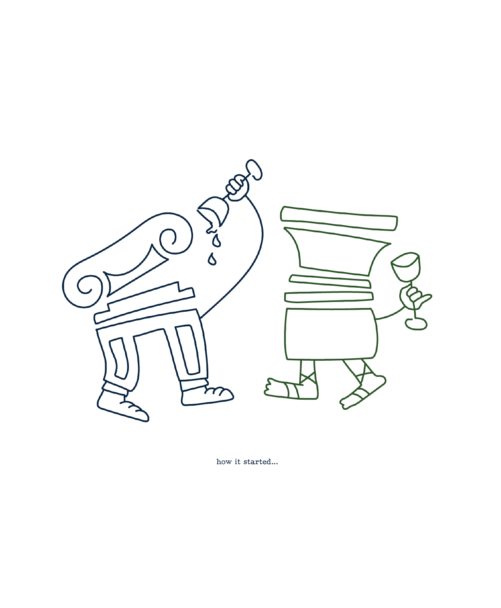

how it started...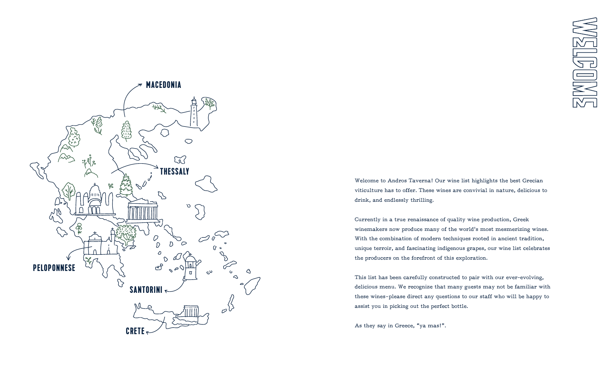

Welcome to Andros Taverna! Our wine list highlights the best Grecian viticulture has to offer. These wines are convivial in nature, delicious to drink, and endlessly thrilling.

Currently in a true renaissance of quality wine production, Greek winemakers now produce many of the world's most mesmerizing wines. With the combination of modern techniques rooted in ancient tradition, unique terroir, and fascinating indigenous grapes, our wine list celebrates the producers on the forefront of this exploration.

This list has been carefully constructed to pair with our ever-evolving, delicious menu. We recognize that many guests may not be familiar with these wines—please direct any questions to our staff who will be happy to assist you in picking out the perfect bottle.

As they say in Greece, "ya mas!".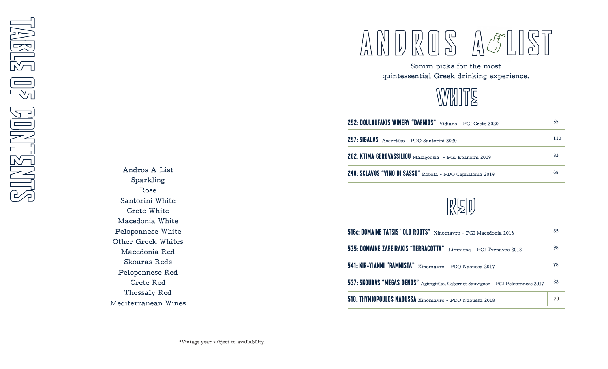Andros A List Sparkling Rose Santorini White Crete White Macedonia White Peloponnese White Other Greek Whites Macedonia Red Skouras Reds Peloponnese Red Crete Red Thessaly Red Mediterranean Wines

### $\begin{picture}(22,11) \put(0,0){\line(1,0){155}} \put(15,0){\line(1,0){155}} \put(15,0){\line(1,0){155}} \put(15,0){\line(1,0){155}} \put(15,0){\line(1,0){155}} \put(15,0){\line(1,0){155}} \put(15,0){\line(1,0){155}} \put(15,0){\line(1,0){155}} \put(15,0){\line(1,0){155}} \put(15,0){\line(1,0){155}} \put(15,0){\line(1,0){155}} \$  $\mathbb{ST}$  $\binom{1}{n}$

Somm picks for the most quintessential Greek drinking experience.



| 252: DOULOUFAKIS WINERY "DAFNIOS" Vidiano - PGI Crete 2020 | 55  |
|------------------------------------------------------------|-----|
| 257: SIGALAS Assyrtiko - PDO Santorini 2020                | 110 |
| 202: KTIMA GEROVASSILIOU Malagousia - PGI Epanomi 2019     | 83  |
| 248: SCLAVOS "VINO DI SASSO" Robola - PDO Cephalonia 2019  | 68  |



| 516c: DOMAINE TATSIS "OLD ROOTS" Xinomavro - PGI Macedonia 2016                   | 85 |
|-----------------------------------------------------------------------------------|----|
| 535: DOMAINE ZAFEIRAKIS "TERRACOTTA" Limniona - PGI Tyrnavos 2018                 | 98 |
| 541: KIR-YIANNI "RAMNISTA" Xinomavro - PDO Naoussa 2017                           | 78 |
| 537: SKOURAS "MEGAS OENOS" Agiorgitiko, Cabernet Sauvignon - PGI Peloponnese 2017 | 82 |
| 518: THYMIOPOULOS NAOUSSA Xinomavro - PDO Naoussa 2018                            | 70 |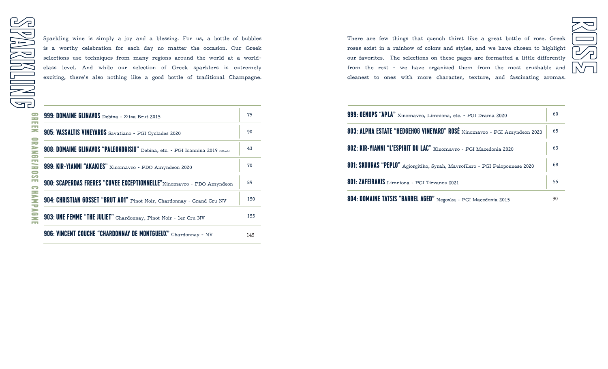Sparkling wine is simply a joy and a blessing. For us, a bottle of bubbles is a worthy celebration for each day no matter the occasion. Our Greek selections use techniques from many regions around the world at a worldclass level. And while our selection of Greek sparklers is extremely exciting, there's also nothing like a good bottle of traditional Champagne.

| 999: DOMAINE GLINAVOS Debina - Zitsa Brut 2015                                | 75  |
|-------------------------------------------------------------------------------|-----|
| 905: VASSALTIS VINEYARDS Savatiano - PGI Cyclades 2020                        | 90  |
| 908: DOMAINE GLINAVOS "PALEOKORISIO" Debina, etc. - PGI Ioannina 2019 (500mL) | 43  |
| 999: KIR-YIANNI "AKAKIES" Xinomavro - PDO Amyndeon 2020                       | 70  |
| 900: SCAPERDAS FRERES "CUVEE EXCEPTIONNELLE"Xinomavro - PDO Amyndeon          | 89  |
| 904: CHRISTIAN GOSSET "BRUT A01" Pinot Noir, Chardonnay - Grand Cru NV        | 150 |
| 903: UNE FEMME "THE JULIET" Chardonnay, Pinot Noir - ler Cru NV               | 155 |
| 906: VINCENT COUCHE "CHARDONNAY DE MONTGUEUX" Chardonnay - NV                 | 145 |

There are few things that quench thirst like a great bottle of rose. Greek roses exist in a rainbow of colors and styles, and we have chosen to highlight our favorites. The selections on these pages are formatted a little differently from the rest - we have organized them from the most crushable and cleanest to ones with more character, texture, and fascinating aromas.

 $\overline{\mathscr{S}}$ 

| 999: OENOPS "APLA" Xinomavro, Limniona, etc. - PGI Drama 2020               | 60 |
|-----------------------------------------------------------------------------|----|
| 803: ALPHA ESTATE "HEDGEHOG VINEYARD" ROSÉ Xinomavro - PGI Amyndeon 2020    | 65 |
| 802: KIR-YIANNI "L'ESPIRIT DU LAC" Xinomavro - PGI Macedonia 2020           | 63 |
| 801: SKOURAS "PEPLO" Agiorgitiko, Syrah, Mavrofilero - PGI Peloponnese 2020 | 68 |
| 801: ZAFEIRAKIS Limniona - PGI Tirvanos 2021                                | 55 |
| 804: DOMAINE TATSIS "BARREL AGED" Negoska - PGI Macedonia 2015              | 90 |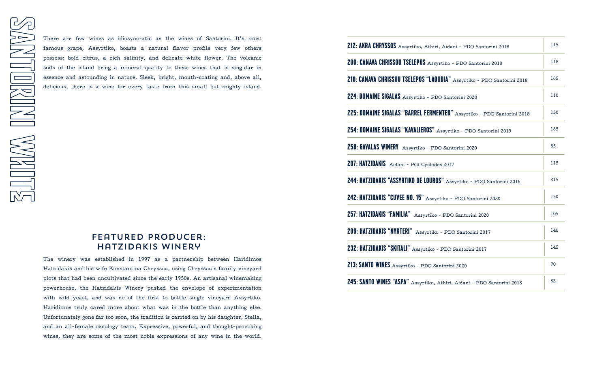There are few wines as idiosyncratic as the wines of Santorini. It's most famous grape, Assyrtiko, boasts a natural flavor profile very few others possess: bold citrus, a rich salinity, and delicate white flower. The volcanic soils of the island bring a mineral quality to these wines that is singular in essence and astounding in nature. Sleek, bright, mouth-coating and, above all, delicious, there is a wine for every taste from this small but mighty island.

## Featured producer: Hatzidakis Winery

The winery was established in 1997 as a partnership between Haridimos Hatzidakis and his wife Konstantina Chryssou, using Chryssou's family vineyard plots that had been uncultivated since the early 1950s. An artisanal winemaking powerhouse, the Hatzidakis Winery pushed the envelope of experimentation with wild yeast, and was ne of the first to bottle single vineyard Assyrtiko. Haridimos truly cared more about what was in the bottle than anything else. Unfortunately gone far too soon, the tradition is carried on by his daughter, Stella, and an all-female oenology team. Expressive, powerful, and thought-provoking wines, they are some of the most noble expressions of any wine in the world.

| 212: AKRA CHRYSSOS Assyrtiko, Athiri, Aidani - PDO Santorini 2018      | 115 |
|------------------------------------------------------------------------|-----|
| 200: CANAVA CHRISSOU TSELEPOS Assyrtiko - PDO Santorini 2018           | 118 |
| 210: CANAVA CHRISSOU TSELEPOS "LAOUDIA" Assyrtiko - PDO Santorini 2018 | 165 |
| 224: DOMAINE SIGALAS Assyrtiko - PDO Santorini 2020                    | 110 |
| 225: DOMAINE SIGALAS "BARREL FERMENTED" Assyrtiko - PDO Santorini 2018 | 130 |
| 254: DOMAINE SIGALAS "KAVALIEROS" Assyrtiko - PDO Santorini 2019       | 185 |
| 258: GAVALAS WINERY Assyrtiko - PDO Santorini 2020                     | 85  |
| 207: HATZIDAKIS Aidani - PGI Cyclades 2017                             | 115 |
| 244: HATZIDAKIS "ASSYRTIKO DE LOUROS" Assyrtiko - PDO Santorini 2016   | 215 |
| 242: HATZIDAKIS "CUVEE NO. 15" Assyrtiko - PDO Santorini 2020          | 130 |
| 257: HATZIDAKIS "FAMILIA" Assyrtiko - PDO Santorini 2020               | 105 |
| 209: HATZIDAKIS "NYKTERI" Assyrtiko - PDO Santorini 2017               | 146 |
| 232: HATZIDAKIS "SKITALI" Assyrtiko - PDO Santorini 2017               | 145 |
| 213: SANTO WINES Assyrtiko - PDO Santorini 2020                        | 70  |
| 245: SANTO WINES "ASPA" Assyrtiko, Athiri, Aidani - PDO Santorini 2018 | 82  |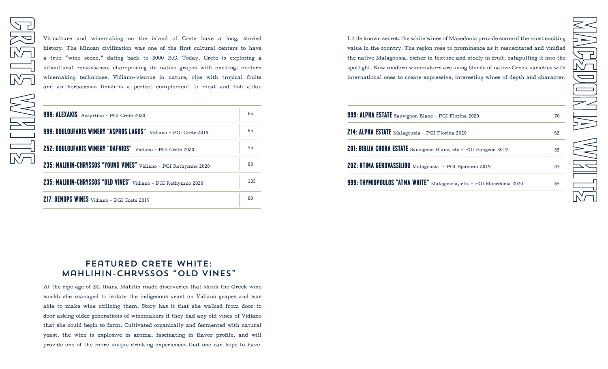Viticulture and winemaking on the island of Crete have a long, storied history. The Minoan civilization was one of the first cultural centers to have a true "wine scene," dating back to 3000 B.C. Today, Crete is exploring a viticultural renaissance, championing its native grapes with exciting, modern winemaking techniques. Vidiano-viscous in nature, ripe with tropical fruits and an herbaceous finish—is a perfect complement to meat and fish alike.

| 999: ALEXAKIS Assyrtiko - PGI Crete 2020                             | 65  |
|----------------------------------------------------------------------|-----|
| 999: DOULOUFAKIS WINERY "ASPROS LAGOS"<br>Vidiano - PGI Crete 2019   | 85  |
| <b>252: DOULOUFAKIS WINERY "DAFNIOS"</b><br>Vidiano - PGI Crete 2020 | 55  |
| 235: MALIHIN-CHRYSSOS "YOUNG VINES" Vidiano - PGI Rethymno 2020      | 88  |
| 235: MALIHIN-CHRYSSOS "OLD VINES" Vidiano - PGI Rethymno 2020        | 135 |
| 217: OENOPS WINES Vidiano - PGI Crete 2019                           | 80  |

Little known secret: the white wines of Macedonia provide some of the most exciting value in the country. The region rose to prominence as it resuscitated and vinified the native Malagousia, richer in texture and steely in fruit, catapulting it into the spotlight. Now modern winemakers are using blends of native Greek varieties with international ones to create expressive, interesting wines of depth and character.

| 999: ALPHA ESTATE Sauvignon Blanc - PGI Florina 2020                 |
|----------------------------------------------------------------------|
| 214: ALPHA ESTATE Malagouzia - PGI Florina 2020                      |
| 201: BIBLIA CHORA ESTATE Sauvignon Blanc, etc - PGI Pangeon 2019     |
| 202: KTIMA GEROVASSILIOU Malagousia - PGI Epanomi 2019               |
| 999: THYMIOPOULOS "ATMA WHITE" Malagousia, etc. - PGI Macedonia 2020 |
|                                                                      |

## FEATURED CRETE WHITE: Mahlihin-chryssos "Old vines"

At the ripe age of 24, Iliana Mahilin made discoveries that shook the Greek wine world: she managed to isolate the indigenous yeast on Vidiano grapes and was able to make wine utilizing them. Story has it that she walked from door to door asking older generations of winemakers if they had any old vines of Vidiano that she could begin to farm. Cultivated organically and fermented with natural yeast, the wine is explosive in aroma, fascinating in flavor profile, and will provide one of the more unique drinking experiences that one can hope to have.

70

62

85

83

65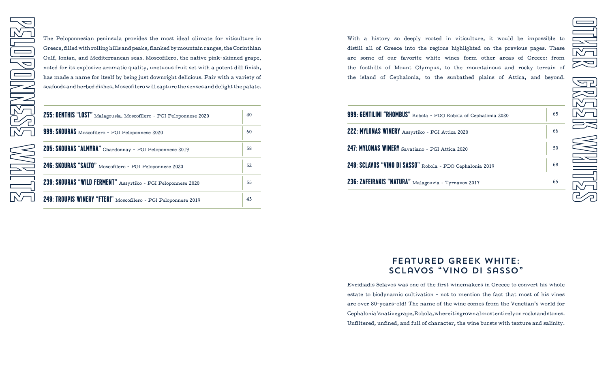The Peloponnesian peninsula provides the most ideal climate for viticulture in Greece, filled with rolling hills and peaks, flanked by mountain ranges, the Corinthian Gulf, Ionian, and Mediterranean seas. Moscofilero, the native pink-skinned grape, noted for its explosive aromatic quality, unctuous fruit set with a potent dill finish, has made a name for itself by being just downright delicious. Pair with a variety of seafoods and herbed dishes, Moscofilero will capture the senses and delight the palate.

| 255: DENTHIS "LOST" Malagousia, Moscofilero - PGI Peloponnese 2020 | 40 |
|--------------------------------------------------------------------|----|
| 999: SKOURAS Moscofilero - PGI Peloponnese 2020                    | 60 |
| 205: SKOURAS "ALMYRA" Chardonnay - PGI Peloponnese 2019            | 58 |
| 246: SKOURAS "SALTO" Moscofilero - PGI Peloponnese 2020            | 52 |
| 239: SKOURAS "WILD FERMENT" Assyrtiko - PGI Peloponnese 2020       | 55 |
| 249: TROUPIS WINERY "FTERI" Moscofilero - PGI Peloponnese 2019     | 43 |

With a history so deeply rooted in viticulture, it would be impossible to distill all of Greece into the regions highlighted on the previous pages. These are some of our favorite white wines form other areas of Greece: from the foothills of Mount Olympus, to the mountainous and rocky terrain of the island of Cephalonia, to the sunbathed plains of Attica, and beyond.

| 999: GENTILINI "RHOMBUS" Robola - PDO Robola of Cephalonia 2020 |
|-----------------------------------------------------------------|
| 222: MYLONAS WINERY Assyrtiko - PGI Attica 2020                 |
| 247: MYLONAS WINERY Savatiano - PGI Attica 2020                 |
| 248: SCLAVOS "VINO DI SASSO" Robola - PDO Cephalonia 2019       |
| 236: ZAFEIRAKIS "NATURA" Malagouzia - Tyrnavos 2017             |
|                                                                 |

# BREEK WALLES

65

66

50

68

65

## Featured Greek white: Sclavos "vino di sassO"

Evridiadis Sclavos was one of the first winemakers in Greece to convert his whole estate to biodynamic cultivation - not to mention the fact that most of his vines are over 80-years-old! The name of the wine comes from the Venetian's world for Cephalonia's native grape, Robola, where it is grown almost entirely on rocks and stones. Unfiltered, unfined, and full of character, the wine bursts with texture and salinity.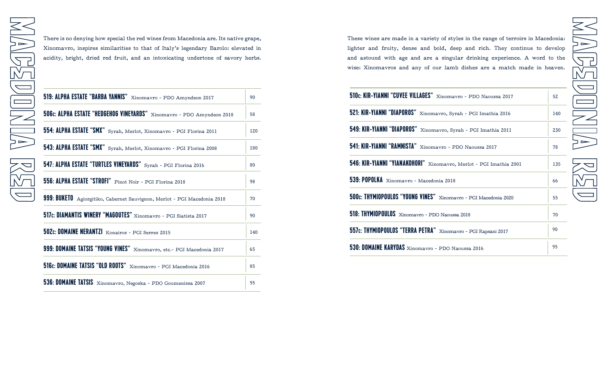There is no denying how special the red wines from Macedonia are. Its native grape, Xinomavro, inspires similarities to that of Italy's legendary Barolo: elevated in acidity, bright, dried red fruit, and an intoxicating undertone of savory herbs.

| 519: ALPHA ESTATE "BARBA YANNIS" Xinomavro - PDO Amyndeon 2017           | 90  |
|--------------------------------------------------------------------------|-----|
| 506c: ALPHA ESTATE "HEDGEHOG VINEYARDS" Xinomavro - PDO Amyndeon 2018    | 58  |
| 554: ALPHA ESTATE "SMX" Syrah, Merlot, Xinomavro - PGI Florina 2011      | 120 |
| 543: ALPHA ESTATE "SMX" Syrah, Merlot, Xinomavro - PGI Florina 2008      | 180 |
| 547: ALPHA ESTATE "TURTLES VINEYARDS" Syrah - PGI Florina 2016           | 80  |
| 556: ALPHA ESTATE "STROFI" Pinot Noir - PGI Florina 2018                 | 98  |
| 999: BUKETO Agiorgitiko, Cabernet Sauvignon, Merlot - PGI Macedonia 2018 | 70  |
| 517c: DIAMANTIS WINERY "MAGOUTES" Xinomavro - PGI Siatista 2017          | 90  |
| 502c: DOMAINE NERANTZI Konairos - PGI Serres 2015                        | 140 |
| 999: DOMAINE TATSIS "YOUNG VINES" Xinomavro, etc.- PGI Macedonia 2017    | 65  |
| 516c: DOMAINE TATSIS "OLD ROOTS" Xinomavro - PGI Macedonia 2016          | 85  |
| 536: DOMAINE TATSIS Xinomavro, Negoska - PDO Goumenissa 2007             | 95  |

These wines are made in a variety of styles in the range of terroirs in Macedonia: lighter and fruity, dense and bold, deep and rich. They continue to develop and astound with age and are a singular drinking experience. A word to the wise: Xinomavros and any of our lamb dishes are a match made in heaven.

 $\overline{\phantom{0}}$ 

<u>An</u><br>M

 $\frac{1}{2}$ 

| 510c: KIR-YIANNI "CUVEE VILLAGES" Xinomavro - PDO Naoussa 2017     | 52  |
|--------------------------------------------------------------------|-----|
| 521: KIR-YIANNI "DIAPOROS" Xinomavro, Syrah - PGI Imathia 2016     | 140 |
| 549: KIR-YIANNI "DIAPOROS" Xinomavro, Syrah - PGI Imathia 2011     | 230 |
| 541: KIR-YIANNI "RAMNISTA" Xinomavro - PDO Naoussa 2017            | 78  |
| 546: KIR-YIANNI "YIANAKOHORI" Xinomavro, Merlot - PGI Imathia 2001 | 135 |
| 539: POPOLKA Xinomavro - Macedonia 2018                            | 66  |
| 500c: THYMIOPOULOS "YOUNG VINES" Xinomavro - PGI Macedonia 2020    | 55  |
| 518: THYMIOPOULOS Xinomavro - PDO Naoussa 2018                     | 70  |
| 557c: THYMIOPOULOS "TERRA PETRA" Xinomavro - PGI Rapsani 2017      | 90  |
| 530: DOMAINE KARYDAS Xinomavro - PDO Naoussa 2016                  | 95  |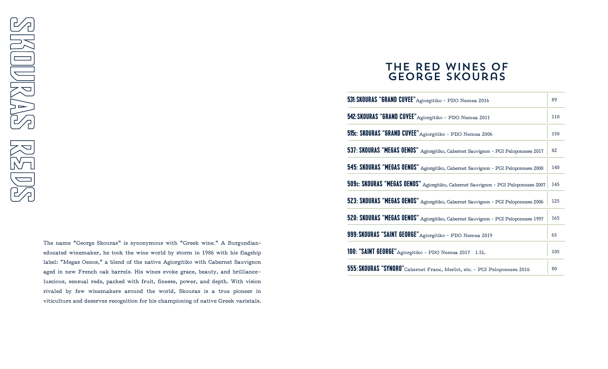The name "George Skouras" is synonymous with "Greek wine." A Burgundianeducated winemaker, he took the wine world by storm in 1986 with his flagship label: "Megas Oenos," a blend of the native Agiorgitiko with Cabernet Sauvignon aged in new French oak barrels. His wines evoke grace, beauty, and brilliance– luscious, sensual reds, packed with fruit, finesse, power, and depth. With vision rivaled by few winemakers around the world, Skouras is a true pioneer in viticulture and deserves recognition for his championing of native Greek varietals.

# The Red Wines of George Skouras

| 531: SKOURAS "GRAND CUVEE" Agiorgitiko - PDO Nemea 2016                            | 89  |
|------------------------------------------------------------------------------------|-----|
| 542: SKOURAS "GRAND CUVEE" Agiorgitiko - PDO Nemea 2011                            | 110 |
| 515: SKOURAS "GRAND CUVEE" Agiorgitiko - PDO Nemea 2006                            | 150 |
| 537: SKOURAS "MEGAS OENOS" Agiorgitiko, Cabernet Sauvignon - PGI Peloponnese 2017  | 82  |
| 545: SKOURAS "MEGAS OENOS" Agiorgitiko, Cabernet Sauvignon - PGI Peloponnese 2008  | 140 |
| 509:: SKOURAS "MEGAS OENOS" Agiorgitiko, Cabernet Sauvignon - PGI Peloponnese 2007 | 145 |
| 523: SKOURAS "MEGAS OENOS" Agiorgitiko, Cabernet Sauvignon - PGI Peloponnese 2006  | 125 |
| 520: SKOURAS "MEGAS OENOS" Agiorgitiko, Cabernet Sauvignon - PGI Peloponnese 1997  | 165 |
| 999: SKOURAS "SAINT GEORGE" Agiorgitiko - PDO Nemea 2019                           | 65  |
| 100: "SAINT GEORGE" Agiorgitiko - PDO Nemea 2017 1.5L                              | 105 |
| 555: SKOURAS "SYNORO" Cabernet Franc, Merlot, etc. - PGI Peloponnese 2016          | 80  |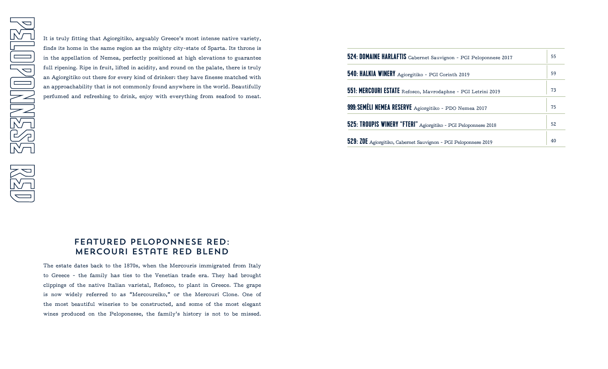It is truly fitting that Agiorgitiko, arguably Greece's most intense native variety, finds its home in the same region as the mighty city-state of Sparta. Its throne is in the appellation of Nemea, perfectly positioned at high elevations to guarantee full ripening. Ripe in fruit, lifted in acidity, and round on the palate, there is truly an Agiorgitiko out there for every kind of drinker: they have finesse matched with an approachability that is not commonly found anywhere in the world. Beautifully perfumed and refreshing to drink, enjoy with everything from seafood to meat.

| 524: DOMAINE HARLAFTIS Cabernet Sauvignon - PGI Peloponnese 2017 | 55 |
|------------------------------------------------------------------|----|
| 540: HALKIA WINERY Agiorgitiko - PGI Corinth 2019                | 59 |
| 551: MERCOURI ESTATE Refosco, Mavrodaphne - PGI Letrini 2019     | 73 |
| 999: SEMÉLI NEMEA RESERVE Agiorgitiko - PDO Nemea 2017           | 75 |
| 525: TROUPIS WINERY "FTERI" Agiorgitiko - PGI Peloponnese 2018   | 52 |
| 529: ZOE Agiorgitiko, Cabernet Sauvignon - PGI Peloponnese 2019  | 40 |

## Featured peloponnese red: Mercouri Estate REd blend

The estate dates back to the 1870s, when the Mercouris immigrated from Italy to Greece - the family has ties to the Venetian trade era. They had brought clippings of the native Italian varietal, Refosco, to plant in Greece. The grape is now widely referred to as "Mercoureiko," or the Mercouri Clone. One of the most beautiful wineries to be constructed, and some of the most elegant wines produced on the Peloponesse, the family's history is not to be missed.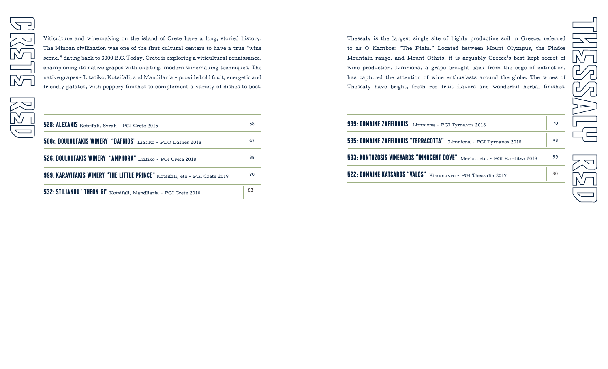Viticulture and winemaking on the island of Crete have a long, storied history. The Minoan civilization was one of the first cultural centers to have a true "wine scene," dating back to 3000 B.C. Today, Crete is exploring a viticultural renaissance, championing its native grapes with exciting, modern winemaking techniques. The native grapes - Litatiko, Kotsifali, and Mandilaria — provide bold fruit, energetic and friendly palates, with peppery finishes to complement a variety of dishes to boot.

| 528: ALEXAKIS Kotsifali, Syrah - PGI Crete 2015                             | 58 |
|-----------------------------------------------------------------------------|----|
| 508c: DOULOUFAKIS WINERY "DAFNIOS" Liatiko - PDO Dafnes 2018                | 47 |
| 526: DOULOUFAKIS WINERY "AMPHORA" Liatiko - PGI Crete 2018                  | 88 |
| 999: KARAVITAKIS WINERY "THE LITTLE PRINCE" Kotsifali, etc - PGI Crete 2019 | 70 |
| 532: STILIANOU "THEON GI" Kotsifali, Mandliaria - PGI Crete 2010            | 83 |

Thessaly is the largest single site of highly productive soil in Greece, referred to as O Kambos: "The Plain." Located between Mount Olympus, the Pindos Mountain range, and Mount Othris, it is arguably Greece's best kept secret of wine production. Limniona, a grape brought back from the edge of extinction, has captured the attention of wine enthusiasts around the globe. The wines of Thessaly have bright, fresh red fruit flavors and wonderful herbal finishes.

| 999: DOMAINE ZAFEIRAKIS Limniona - PGI Tyrnavos 2018                       | 70 |
|----------------------------------------------------------------------------|----|
| 535: DOMAINE ZAFEIRAKIS "TERRACOTTA" Limniona - PGI Tyrnavos 2018          | 98 |
| 533: KONTOZOSIS VINEYARDS "INNOCENT DOVE" Merlot, etc. - PGI Karditsa 2018 | 59 |
| 522: DOMAINE KATSAROS "VALOS" Xinomavro - PGI Thessalia 2017               | 80 |
|                                                                            |    |